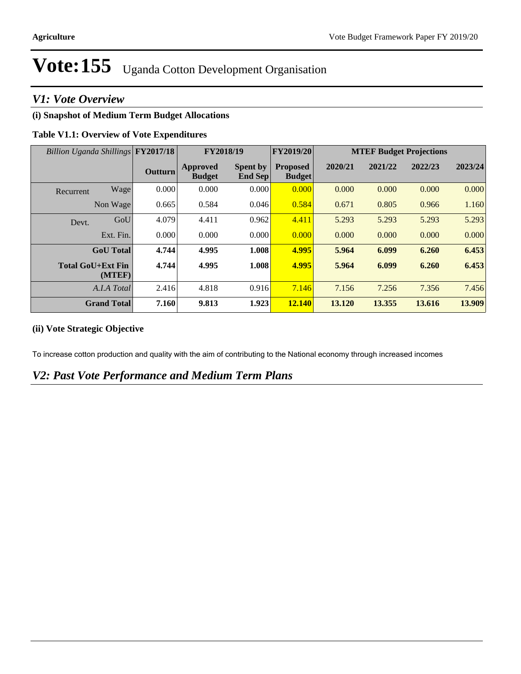# Vote: 155 Uganda Cotton Development Organisation

# *V1: Vote Overview*

## **(i) Snapshot of Medium Term Budget Allocations**

### **Table V1.1: Overview of Vote Expenditures**

| Billion Uganda Shillings FY2017/18 |         | FY2018/19                        |                                   | FY2019/20                        | <b>MTEF Budget Projections</b> |         |         |         |
|------------------------------------|---------|----------------------------------|-----------------------------------|----------------------------------|--------------------------------|---------|---------|---------|
|                                    | Outturn | <b>Approved</b><br><b>Budget</b> | <b>Spent by</b><br><b>End Sep</b> | <b>Proposed</b><br><b>Budget</b> | 2020/21                        | 2021/22 | 2022/23 | 2023/24 |
| Wage<br>Recurrent                  | 0.000   | 0.000                            | 0.000                             | 0.000                            | 0.000                          | 0.000   | 0.000   | 0.000   |
| Non Wage                           | 0.665   | 0.584                            | 0.046                             | 0.584                            | 0.671                          | 0.805   | 0.966   | 1.160   |
| GoU<br>Devt.                       | 4.079   | 4.411                            | 0.962                             | 4.411                            | 5.293                          | 5.293   | 5.293   | 5.293   |
| Ext. Fin.                          | 0.000   | 0.000                            | 0.000                             | 0.000                            | 0.000                          | 0.000   | 0.000   | 0.000   |
| <b>GoU</b> Total                   | 4.744   | 4.995                            | 1.008                             | 4.995                            | 5.964                          | 6.099   | 6.260   | 6.453   |
| <b>Total GoU+Ext Fin</b><br>(MTEF) | 4.744   | 4.995                            | 1.008                             | 4.995                            | 5.964                          | 6.099   | 6.260   | 6.453   |
| A.I.A Total                        | 2.416   | 4.818                            | 0.916                             | 7.146                            | 7.156                          | 7.256   | 7.356   | 7.456   |
| <b>Grand Total</b>                 | 7.160   | 9.813                            | 1.923                             | 12.140                           | 13.120                         | 13.355  | 13.616  | 13.909  |

## **(ii) Vote Strategic Objective**

To increase cotton production and quality with the aim of contributing to the National economy through increased incomes

## *V2: Past Vote Performance and Medium Term Plans*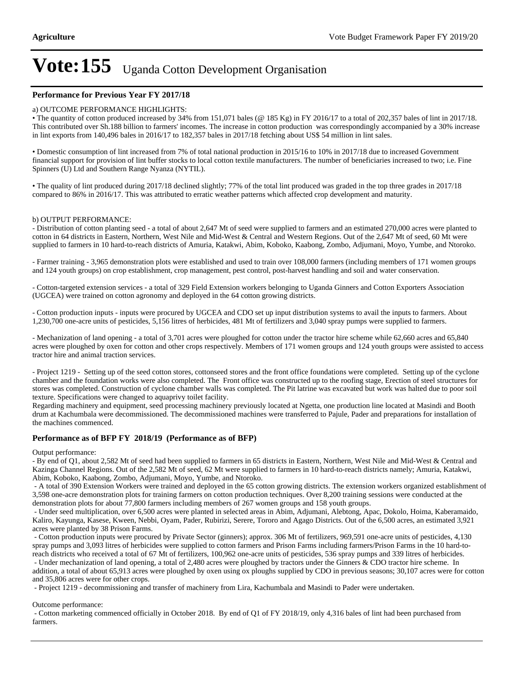# **Vote:155** Uganda Cotton Development Organisation

#### **Performance for Previous Year FY 2017/18**

#### a) OUTCOME PERFORMANCE HIGHLIGHTS:

The quantity of cotton produced increased by 34% from 151,071 bales (@ 185 Kg) in FY 2016/17 to a total of 202,357 bales of lint in 2017/18. This contributed over Sh.188 billion to farmers' incomes. The increase in cotton production was correspondingly accompanied by a 30% increase in lint exports from 140,496 bales in 2016/17 to 182,357 bales in 2017/18 fetching about US\$ 54 million in lint sales.

Domestic consumption of lint increased from 7% of total national production in 2015/16 to 10% in 2017/18 due to increased Government financial support for provision of lint buffer stocks to local cotton textile manufacturers. The number of beneficiaries increased to two; i.e. Fine Spinners (U) Ltd and Southern Range Nyanza (NYTIL).

The quality of lint produced during 2017/18 declined slightly; 77% of the total lint produced was graded in the top three grades in 2017/18 compared to 86% in 2016/17. This was attributed to erratic weather patterns which affected crop development and maturity.

#### b) OUTPUT PERFORMANCE:

- Distribution of cotton planting seed - a total of about 2,647 Mt of seed were supplied to farmers and an estimated 270,000 acres were planted to cotton in 64 districts in Eastern, Northern, West Nile and Mid-West & Central and Western Regions. Out of the 2,647 Mt of seed, 60 Mt were supplied to farmers in 10 hard-to-reach districts of Amuria, Katakwi, Abim, Koboko, Kaabong, Zombo, Adjumani, Moyo, Yumbe, and Ntoroko.

- Farmer training - 3,965 demonstration plots were established and used to train over 108,000 farmers (including members of 171 women groups and 124 youth groups) on crop establishment, crop management, pest control, post-harvest handling and soil and water conservation.

- Cotton-targeted extension services - a total of 329 Field Extension workers belonging to Uganda Ginners and Cotton Exporters Association (UGCEA) were trained on cotton agronomy and deployed in the 64 cotton growing districts.

- Cotton production inputs - inputs were procured by UGCEA and CDO set up input distribution systems to avail the inputs to farmers. About 1,230,700 one-acre units of pesticides, 5,156 litres of herbicides, 481 Mt of fertilizers and 3,040 spray pumps were supplied to farmers.

- Mechanization of land opening - a total of 3,701 acres were ploughed for cotton under the tractor hire scheme while 62,660 acres and 65,840 acres were ploughed by oxen for cotton and other crops respectively. Members of 171 women groups and 124 youth groups were assisted to access tractor hire and animal traction services.

- Project 1219 - Setting up of the seed cotton stores, cottonseed stores and the front office foundations were completed. Setting up of the cyclone chamber and the foundation works were also completed. The Front office was constructed up to the roofing stage, Erection of steel structures for stores was completed. Construction of cyclone chamber walls was completed. The Pit latrine was excavated but work was halted due to poor soil texture. Specifications were changed to aquaprivy toilet facility.

Regarding machinery and equipment, seed processing machinery previously located at Ngetta, one production line located at Masindi and Booth drum at Kachumbala were decommissioned. The decommissioned machines were transferred to Pajule, Pader and preparations for installation of the machines commenced.

#### **Performance as of BFP FY 2018/19 (Performance as of BFP)**

Output performance:

- By end of Q1, about 2,582 Mt of seed had been supplied to farmers in 65 districts in Eastern, Northern, West Nile and Mid-West & Central and Kazinga Channel Regions. Out of the 2,582 Mt of seed, 62 Mt were supplied to farmers in 10 hard-to-reach districts namely; Amuria, Katakwi, Abim, Koboko, Kaabong, Zombo, Adjumani, Moyo, Yumbe, and Ntoroko.

 - A total of 390 Extension Workers were trained and deployed in the 65 cotton growing districts. The extension workers organized establishment of 3,598 one-acre demonstration plots for training farmers on cotton production techniques. Over 8,200 training sessions were conducted at the demonstration plots for about 77,800 farmers including members of 267 women groups and 158 youth groups.

 - Under seed multiplication, over 6,500 acres were planted in selected areas in Abim, Adjumani, Alebtong, Apac, Dokolo, Hoima, Kaberamaido, Kaliro, Kayunga, Kasese, Kween, Nebbi, Oyam, Pader, Rubirizi, Serere, Tororo and Agago Districts. Out of the 6,500 acres, an estimated 3,921 acres were planted by 38 Prison Farms.

 - Cotton production inputs were procured by Private Sector (ginners); approx. 306 Mt of fertilizers, 969,591 one-acre units of pesticides, 4,130 spray pumps and 3,093 litres of herbicides were supplied to cotton farmers and Prison Farms including farmers/Prison Farms in the 10 hard-toreach districts who received a total of 67 Mt of fertilizers, 100,962 one-acre units of pesticides, 536 spray pumps and 339 litres of herbicides.

 - Under mechanization of land opening, a total of 2,480 acres were ploughed by tractors under the Ginners & CDO tractor hire scheme. In addition, a total of about 65,913 acres were ploughed by oxen using ox ploughs supplied by CDO in previous seasons; 30,107 acres were for cotton and 35,806 acres were for other crops.

- Project 1219 - decommissioning and transfer of machinery from Lira, Kachumbala and Masindi to Pader were undertaken.

Outcome performance:

 - Cotton marketing commenced officially in October 2018. By end of Q1 of FY 2018/19, only 4,316 bales of lint had been purchased from farmers.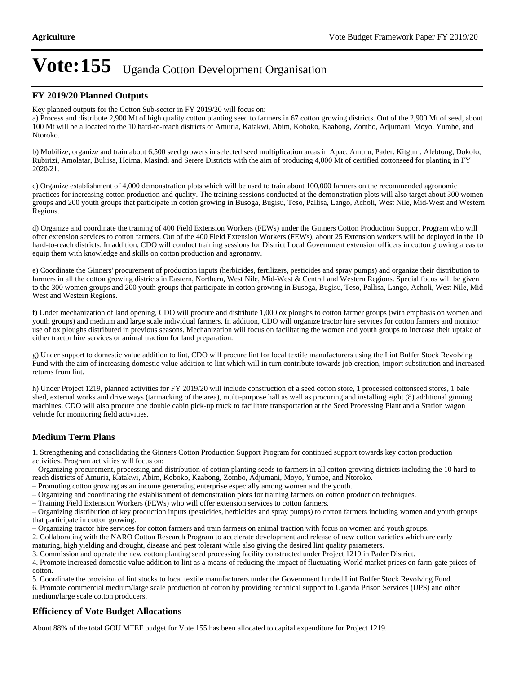# **Vote:155** Uganda Cotton Development Organisation

#### **FY 2019/20 Planned Outputs**

Key planned outputs for the Cotton Sub-sector in FY 2019/20 will focus on:

a) Process and distribute 2,900 Mt of high quality cotton planting seed to farmers in 67 cotton growing districts. Out of the 2,900 Mt of seed, about 100 Mt will be allocated to the 10 hard-to-reach districts of Amuria, Katakwi, Abim, Koboko, Kaabong, Zombo, Adjumani, Moyo, Yumbe, and Ntoroko.

b) Mobilize, organize and train about 6,500 seed growers in selected seed multiplication areas in Apac, Amuru, Pader. Kitgum, Alebtong, Dokolo, Rubirizi, Amolatar, Buliisa, Hoima, Masindi and Serere Districts with the aim of producing 4,000 Mt of certified cottonseed for planting in FY 2020/21.

c) Organize establishment of 4,000 demonstration plots which will be used to train about 100,000 farmers on the recommended agronomic practices for increasing cotton production and quality. The training sessions conducted at the demonstration plots will also target about 300 women groups and 200 youth groups that participate in cotton growing in Busoga, Bugisu, Teso, Pallisa, Lango, Acholi, West Nile, Mid-West and Western Regions.

d) Organize and coordinate the training of 400 Field Extension Workers (FEWs) under the Ginners Cotton Production Support Program who will offer extension services to cotton farmers. Out of the 400 Field Extension Workers (FEWs), about 25 Extension workers will be deployed in the 10 hard-to-reach districts. In addition, CDO will conduct training sessions for District Local Government extension officers in cotton growing areas to equip them with knowledge and skills on cotton production and agronomy.

e) Coordinate the Ginners' procurement of production inputs (herbicides, fertilizers, pesticides and spray pumps) and organize their distribution to farmers in all the cotton growing districts in Eastern, Northern, West Nile, Mid-West & Central and Western Regions. Special focus will be given to the 300 women groups and 200 youth groups that participate in cotton growing in Busoga, Bugisu, Teso, Pallisa, Lango, Acholi, West Nile, Mid-West and Western Regions.

f) Under mechanization of land opening, CDO will procure and distribute 1,000 ox ploughs to cotton farmer groups (with emphasis on women and youth groups) and medium and large scale individual farmers. In addition, CDO will organize tractor hire services for cotton farmers and monitor use of ox ploughs distributed in previous seasons. Mechanization will focus on facilitating the women and youth groups to increase their uptake of either tractor hire services or animal traction for land preparation.

g) Under support to domestic value addition to lint, CDO will procure lint for local textile manufacturers using the Lint Buffer Stock Revolving Fund with the aim of increasing domestic value addition to lint which will in turn contribute towards job creation, import substitution and increased returns from lint.

h) Under Project 1219, planned activities for FY 2019/20 will include construction of a seed cotton store, 1 processed cottonseed stores, 1 bale shed, external works and drive ways (tarmacking of the area), multi-purpose hall as well as procuring and installing eight (8) additional ginning machines. CDO will also procure one double cabin pick-up truck to facilitate transportation at the Seed Processing Plant and a Station wagon vehicle for monitoring field activities.

### **Medium Term Plans**

1. Strengthening and consolidating the Ginners Cotton Production Support Program for continued support towards key cotton production activities. Program activities will focus on:

±Organizing procurement, processing and distribution of cotton planting seeds to farmers in all cotton growing districts including the 10 hard-toreach districts of Amuria, Katakwi, Abim, Koboko, Kaabong, Zombo, Adjumani, Moyo, Yumbe, and Ntoroko.

±Promoting cotton growing as an income generating enterprise especially among women and the youth.

±Organizing and coordinating the establishment of demonstration plots for training farmers on cotton production techniques.

 $-$  Training Field Extension Workers (FEWs) who will offer extension services to cotton farmers.

±Organizing distribution of key production inputs (pesticides, herbicides and spray pumps) to cotton farmers including women and youth groups that participate in cotton growing.

±Organizing tractor hire services for cotton farmers and train farmers on animal traction with focus on women and youth groups.

2. Collaborating with the NARO Cotton Research Program to accelerate development and release of new cotton varieties which are early maturing, high yielding and drought, disease and pest tolerant while also giving the desired lint quality parameters.

3. Commission and operate the new cotton planting seed processing facility constructed under Project 1219 in Pader District.

4. Promote increased domestic value addition to lint as a means of reducing the impact of fluctuating World market prices on farm-gate prices of cotton.

5. Coordinate the provision of lint stocks to local textile manufacturers under the Government funded Lint Buffer Stock Revolving Fund. 6. Promote commercial medium/large scale production of cotton by providing technical support to Uganda Prison Services (UPS) and other

## **Efficiency of Vote Budget Allocations**

medium/large scale cotton producers.

About 88% of the total GOU MTEF budget for Vote 155 has been allocated to capital expenditure for Project 1219.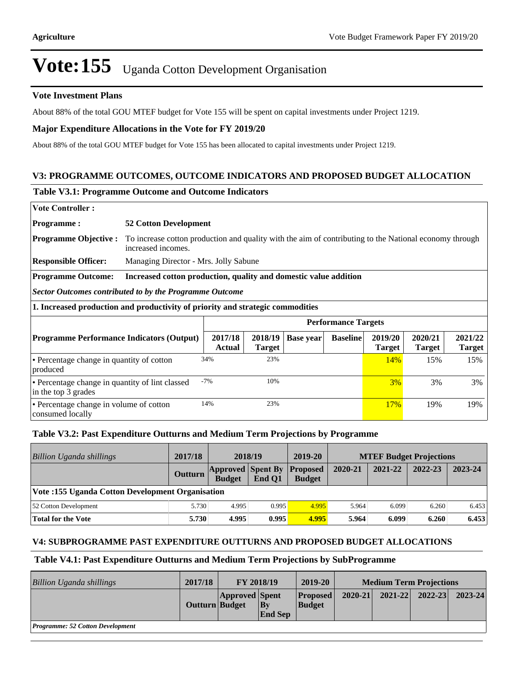# Vote: 155 Uganda Cotton Development Organisation

#### **Vote Investment Plans**

About 88% of the total GOU MTEF budget for Vote 155 will be spent on capital investments under Project 1219.

#### **Major Expenditure Allocations in the Vote for FY 2019/20**

About 88% of the total GOU MTEF budget for Vote 155 has been allocated to capital investments under Project 1219.

### **V3: PROGRAMME OUTCOMES, OUTCOME INDICATORS AND PROPOSED BUDGET ALLOCATION**

#### **Table V3.1: Programme Outcome and Outcome Indicators**

**Vote Controller: Programme : 52 Cotton Development Programme Objective :** To increase cotton production and quality with the aim of contributing to the National economy through increased incomes. **Responsible Officer:** Managing Director - Mrs. Jolly Sabune **Programme Outcome: Increased cotton production, quality and domestic value addition** *Sector Outcomes contributed to by the Programme Outcome* **1. Increased production and productivity of priority and strategic commodities Performance Targets Programme Performance Indicators (Output) 2017/18 Actual 2018/19 Target Base year Baseline 2019/20 Target 2020/21 Target 2021/22 Target**  Percentage change in quantity of cotton

#### produced 34% 23% 23% 15% 16% 16% 23% Percentage change in quantity of lint classed in the top 3 grades -7% 10% 10% 3% 3% 3% Percentage change in volume of cotton consumed locally 14% 23% 23% 17% 17% 19% 19%

#### **Table V3.2: Past Expenditure Outturns and Medium Term Projections by Programme**

| Billion Uganda shillings                         | 2017/18        | 2018/19                                   |        | 2019-20                          | <b>MTEF Budget Projections</b> |         |         |         |
|--------------------------------------------------|----------------|-------------------------------------------|--------|----------------------------------|--------------------------------|---------|---------|---------|
|                                                  | <b>Outturn</b> | <b>Approved Spent By</b><br><b>Budget</b> | End O1 | <b>Proposed</b><br><b>Budget</b> | 2020-21                        | 2021-22 | 2022-23 | 2023-24 |
| Vote :155 Uganda Cotton Development Organisation |                |                                           |        |                                  |                                |         |         |         |
| 52 Cotton Development                            | 5.730          | 4.995                                     | 0.995  | 4.995                            | 5.964                          | 6.099   | 6.260   | 6.453   |
| Total for the Vote                               | 5.730          | 4.995                                     | 0.995  | 4.995                            | 5.964                          | 6.099   | 6.260   | 6.453   |

#### **V4: SUBPROGRAMME PAST EXPENDITURE OUTTURNS AND PROPOSED BUDGET ALLOCATIONS**

#### **Table V4.1: Past Expenditure Outturns and Medium Term Projections by SubProgramme**

| Billion Uganda shillings                | 2017/18        | <b>FY 2018/19</b>     |                                | 2019-20                          | <b>Medium Term Projections</b> |             |             |             |
|-----------------------------------------|----------------|-----------------------|--------------------------------|----------------------------------|--------------------------------|-------------|-------------|-------------|
|                                         | Outturn Budget | <b>Approved Spent</b> | $ {\bf B}$ v<br><b>End Sep</b> | <b>Proposed</b><br><b>Budget</b> | $2020 - 21$                    | $2021 - 22$ | $2022 - 23$ | $2023 - 24$ |
| <b>Programme: 52 Cotton Development</b> |                |                       |                                |                                  |                                |             |             |             |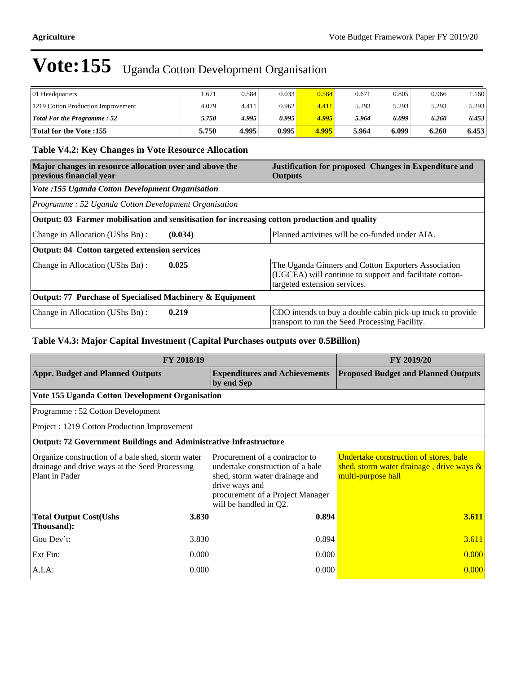# Vote: 155 Uganda Cotton Development Organisation

| 01 Headquarters                    | .671  | 0.584 | 0.033 | 0.584 | 0.671 | 0.805 | 0.966 | .160   |
|------------------------------------|-------|-------|-------|-------|-------|-------|-------|--------|
| 1219 Cotton Production Improvement | 4.079 | 4.411 | 0.962 | 4.411 | 5.293 | 5.293 | 5.293 | 5.293  |
| <b>Total For the Programme: 52</b> | 5.750 | 4.995 | 0.995 | 4.995 | 5.964 | 6.099 | 6.260 | 6.453  |
| <b>Total for the Vote:155</b>      | 5.750 | 4.995 | 0.995 | 4.995 | 5.964 | 6.099 | 6.260 | 6.4531 |

## **Table V4.2: Key Changes in Vote Resource Allocation**

| Major changes in resource allocation over and above the<br>previous financial year            | Justification for proposed Changes in Expenditure and<br><b>Outputs</b>                                                                        |  |  |  |  |  |
|-----------------------------------------------------------------------------------------------|------------------------------------------------------------------------------------------------------------------------------------------------|--|--|--|--|--|
| Vote :155 Uganda Cotton Development Organisation                                              |                                                                                                                                                |  |  |  |  |  |
| Programme: 52 Uganda Cotton Development Organisation                                          |                                                                                                                                                |  |  |  |  |  |
| Output: 03 Farmer mobilisation and sensitisation for increasing cotton production and quality |                                                                                                                                                |  |  |  |  |  |
| (0.034)<br>Change in Allocation (UShs Bn):                                                    | Planned activities will be co-funded under AIA.                                                                                                |  |  |  |  |  |
| Output: 04 Cotton targeted extension services                                                 |                                                                                                                                                |  |  |  |  |  |
| 0.025<br>Change in Allocation (UShs Bn):                                                      | The Uganda Ginners and Cotton Exporters Association<br>(UGCEA) will continue to support and facilitate cotton-<br>targeted extension services. |  |  |  |  |  |
| Output: 77 Purchase of Specialised Machinery & Equipment                                      |                                                                                                                                                |  |  |  |  |  |
| 0.219<br>Change in Allocation (UShs Bn):                                                      | CDO intends to buy a double cabin pick-up truck to provide<br>transport to run the Seed Processing Facility.                                   |  |  |  |  |  |

## **Table V4.3: Major Capital Investment (Capital Purchases outputs over 0.5Billion)**

| FY 2018/19                                                                                                            | FY 2019/20 |                                                                                                                                                                                      |                                                                                                             |  |
|-----------------------------------------------------------------------------------------------------------------------|------------|--------------------------------------------------------------------------------------------------------------------------------------------------------------------------------------|-------------------------------------------------------------------------------------------------------------|--|
| <b>Appr. Budget and Planned Outputs</b>                                                                               |            | <b>Expenditures and Achievements</b><br>by end Sep                                                                                                                                   | <b>Proposed Budget and Planned Outputs</b>                                                                  |  |
| Vote 155 Uganda Cotton Development Organisation                                                                       |            |                                                                                                                                                                                      |                                                                                                             |  |
| Programme: 52 Cotton Development                                                                                      |            |                                                                                                                                                                                      |                                                                                                             |  |
| Project : 1219 Cotton Production Improvement                                                                          |            |                                                                                                                                                                                      |                                                                                                             |  |
| <b>Output: 72 Government Buildings and Administrative Infrastructure</b>                                              |            |                                                                                                                                                                                      |                                                                                                             |  |
| Organize construction of a bale shed, storm water<br>drainage and drive ways at the Seed Processing<br>Plant in Pader |            | Procurement of a contractor to<br>undertake construction of a bale<br>shed, storm water drainage and<br>drive ways and<br>procurement of a Project Manager<br>will be handled in Q2. | Undertake construction of stores, bale<br>shed, storm water drainage, drive ways $\&$<br>multi-purpose hall |  |
| <b>Total Output Cost(Ushs</b><br>Thousand):                                                                           | 3.830      | 0.894                                                                                                                                                                                | 3.611                                                                                                       |  |
| Gou Dev't:                                                                                                            | 3.830      | 0.894                                                                                                                                                                                | 3.611                                                                                                       |  |
| Ext Fin:                                                                                                              | 0.000      | 0.000                                                                                                                                                                                | 0.000                                                                                                       |  |
| $A.I.A$ :                                                                                                             | 0.000      | 0.000                                                                                                                                                                                | 0.000                                                                                                       |  |